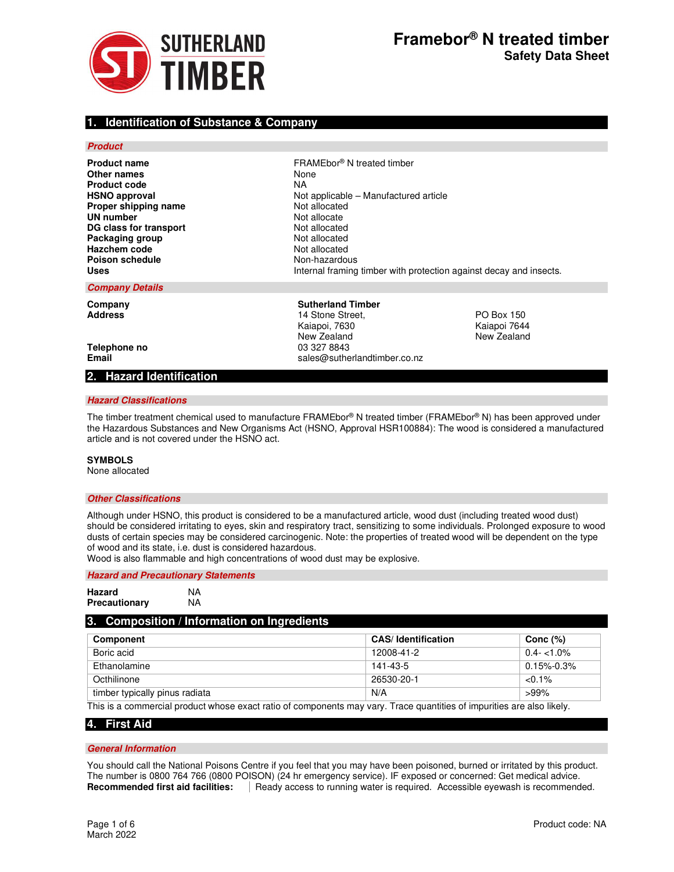

## **1. Identification of Substance & Company**

### **Product**

**Other names** None<br> **Product code** NA **Product code Proper shipping name UN number**<br> **DG class for transport**<br> **DG class for transport DG class for transport** Not allocated<br> **Packaging group**<br>
Not allocated **Packaging group Hazchem code** Not allocated **Poison schedule**<br> **Uses** Non-hazardous<br>
Uses Internal framing

**Product name FRAMEbor®** N treated timber **HSNO approval HSNO** approval **Proper shipping name Not applicable – Manufactured article Proper shipping name Not allocated Uses** Internal framing timber with protection against decay and insects.

#### **Company Details**

**Company Company Sutherland Timber Address** 14 Stone Street, PO Box 150 Kaiapoi, 7630 New Zealand New Zealand **Telephone no and a set of the control of the CO** 3327 8843<br> **Email** sales @ sales and a sales and a sales a sales and a sales a sales a sales a sales a sales a sales a sale **Email** sales@sutherlandtimber.co.nz

## **2. Hazard Identification**

### **Hazard Classifications**

The timber treatment chemical used to manufacture FRAMEbor® N treated timber (FRAMEbor® N) has been approved under the Hazardous Substances and New Organisms Act (HSNO, Approval HSR100884): The wood is considered a manufactured article and is not covered under the HSNO act.

### **SYMBOLS**

None allocated

## **Other Classifications**

Although under HSNO, this product is considered to be a manufactured article, wood dust (including treated wood dust) should be considered irritating to eyes, skin and respiratory tract, sensitizing to some individuals. Prolonged exposure to wood dusts of certain species may be considered carcinogenic. Note: the properties of treated wood will be dependent on the type of wood and its state, i.e. dust is considered hazardous.

Wood is also flammable and high concentrations of wood dust may be explosive.

## **Hazard and Precautionary Statements**

| Hazard        | NA |
|---------------|----|
| Precautionary | NA |

## **3. Composition / Information on Ingredients**

| Component                      | <b>CAS/Identification</b> | Conc $(\%)$      |
|--------------------------------|---------------------------|------------------|
| Boric acid                     | 12008-41-2                | $0.4 - 1.0\%$    |
| Ethanolamine                   | 141-43-5                  | $0.15\% - 0.3\%$ |
| Octhilinone                    | 26530-20-1                | $< 0.1\%$        |
| timber typically pinus radiata | N/A                       | $>99\%$          |

This is a commercial product whose exact ratio of components may vary. Trace quantities of impurities are also likely.

## **4. First Aid**

### **General Information**

You should call the National Poisons Centre if you feel that you may have been poisoned, burned or irritated by this product. The number is 0800 764 766 (0800 POISON) (24 hr emergency service). IF exposed or concerned: Get medical advice. **Recommended first aid facilities:** | Ready access to running water is required. Accessible eyewash is recommended.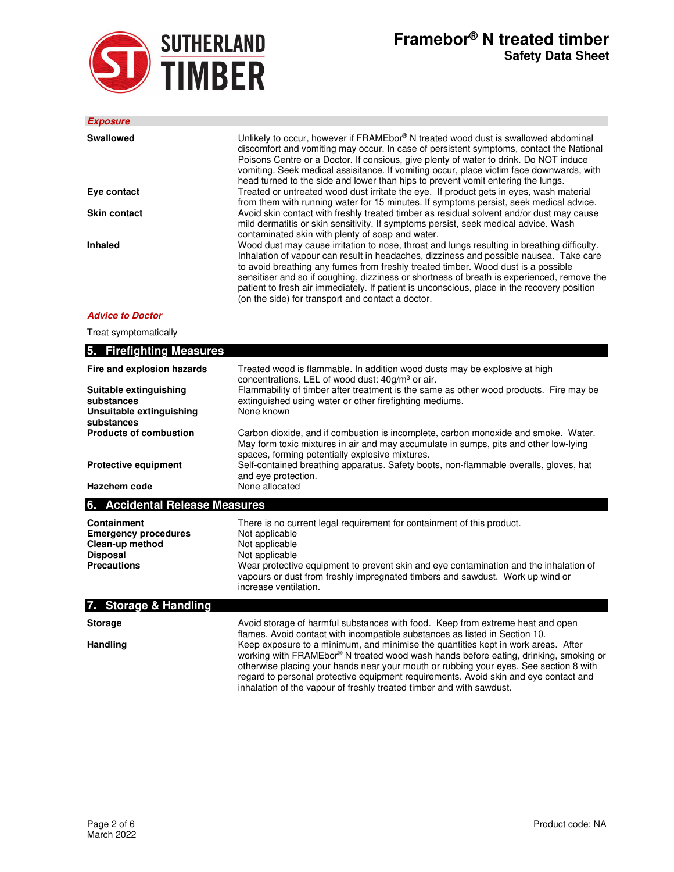

| <b>Exposure</b>     |                                                                                                                                                                                                                                                                                                                                                                                                                                                                                                                              |
|---------------------|------------------------------------------------------------------------------------------------------------------------------------------------------------------------------------------------------------------------------------------------------------------------------------------------------------------------------------------------------------------------------------------------------------------------------------------------------------------------------------------------------------------------------|
| Swallowed           | Unlikely to occur, however if FRAMEbor® N treated wood dust is swallowed abdominal<br>discomfort and vomiting may occur. In case of persistent symptoms, contact the National<br>Poisons Centre or a Doctor. If consious, give plenty of water to drink. Do NOT induce<br>vomiting. Seek medical assisitance. If vomiting occur, place victim face downwards, with<br>head turned to the side and lower than hips to prevent vomit entering the lungs.                                                                       |
| Eye contact         | Treated or untreated wood dust irritate the eye. If product gets in eyes, wash material<br>from them with running water for 15 minutes. If symptoms persist, seek medical advice.                                                                                                                                                                                                                                                                                                                                            |
| <b>Skin contact</b> | Avoid skin contact with freshly treated timber as residual solvent and/or dust may cause<br>mild dermatitis or skin sensitivity. If symptoms persist, seek medical advice. Wash<br>contaminated skin with plenty of soap and water.                                                                                                                                                                                                                                                                                          |
| Inhaled             | Wood dust may cause irritation to nose, throat and lungs resulting in breathing difficulty.<br>Inhalation of vapour can result in headaches, dizziness and possible nausea. Take care<br>to avoid breathing any fumes from freshly treated timber. Wood dust is a possible<br>sensitiser and so if coughing, dizziness or shortness of breath is experienced, remove the<br>patient to fresh air immediately. If patient is unconscious, place in the recovery position<br>(on the side) for transport and contact a doctor. |

## **Advice to Doctor**

Treat symptomatically

| 5. Firefighting Measures                                                                               |                                                                                                                                                                                                                                                                                                                                 |
|--------------------------------------------------------------------------------------------------------|---------------------------------------------------------------------------------------------------------------------------------------------------------------------------------------------------------------------------------------------------------------------------------------------------------------------------------|
| Fire and explosion hazards                                                                             | Treated wood is flammable. In addition wood dusts may be explosive at high<br>concentrations. LEL of wood dust: $40g/m3$ or air.                                                                                                                                                                                                |
| Suitable extinguishing<br>substances<br>Unsuitable extinguishing<br>substances                         | Flammability of timber after treatment is the same as other wood products. Fire may be<br>extinguished using water or other firefighting mediums.<br>None known                                                                                                                                                                 |
| <b>Products of combustion</b>                                                                          | Carbon dioxide, and if combustion is incomplete, carbon monoxide and smoke. Water.<br>May form toxic mixtures in air and may accumulate in sumps, pits and other low-lying<br>spaces, forming potentially explosive mixtures.                                                                                                   |
| <b>Protective equipment</b>                                                                            | Self-contained breathing apparatus. Safety boots, non-flammable overalls, gloves, hat<br>and eye protection.                                                                                                                                                                                                                    |
| Hazchem code                                                                                           | None allocated                                                                                                                                                                                                                                                                                                                  |
| 6. Accidental Release Measures                                                                         |                                                                                                                                                                                                                                                                                                                                 |
| Containment<br><b>Emergency procedures</b><br>Clean-up method<br><b>Disposal</b><br><b>Precautions</b> | There is no current legal requirement for containment of this product.<br>Not applicable<br>Not applicable<br>Not applicable<br>Wear protective equipment to prevent skin and eye contamination and the inhalation of<br>vapours or dust from freshly impregnated timbers and sawdust. Work up wind or<br>increase ventilation. |
| 7. Storage & Handling                                                                                  |                                                                                                                                                                                                                                                                                                                                 |
| <b>Storage</b>                                                                                         | Avoid storage of harmful substances with food. Keep from extreme heat and open<br>flames. Avoid contact with incompatible substances as listed in Section 10.                                                                                                                                                                   |
| <b>Handling</b>                                                                                        | Keep exposure to a minimum, and minimise the quantities kept in work areas. After<br>working with FRAMEbor® N treated wood wash hands before eating, drinking, smoking or                                                                                                                                                       |

otherwise placing your hands near your mouth or rubbing your eyes. See section 8 with regard to personal protective equipment requirements. Avoid skin and eye contact and

inhalation of the vapour of freshly treated timber and with sawdust.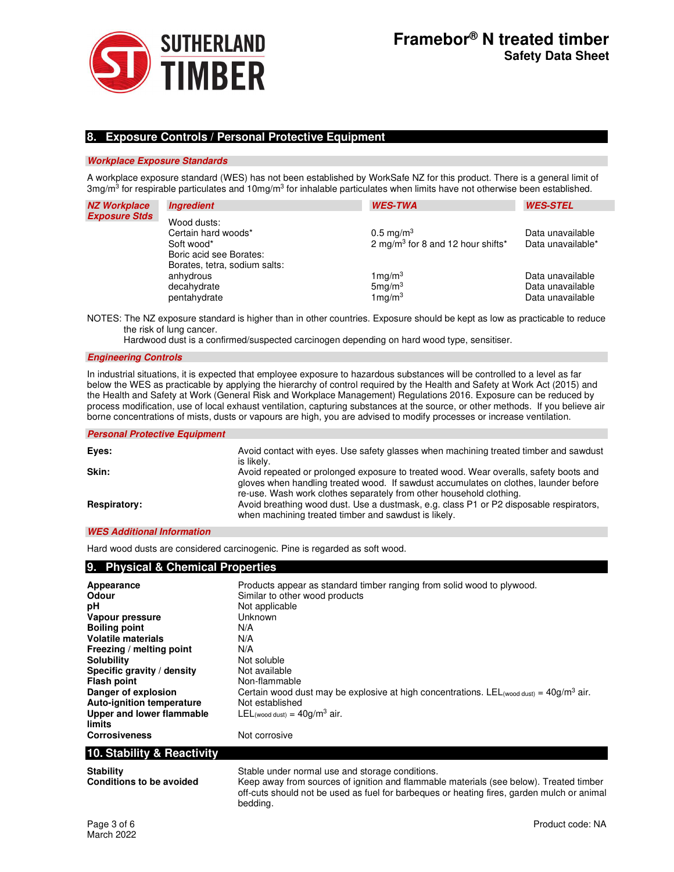

## **8. Exposure Controls / Personal Protective Equipment**

### **Workplace Exposure Standards**

A workplace exposure standard (WES) has not been established by WorkSafe NZ for this product. There is a general limit of 3mg/m<sup>3</sup> for respirable particulates and 10mg/m<sup>3</sup> for inhalable particulates when limits have not otherwise been established.

| <b>NZ Workplace</b>  | <b>Ingredient</b>                                                                                            | <b>WES-TWA</b>                                                                | <b>WES-STEL</b>                                          |
|----------------------|--------------------------------------------------------------------------------------------------------------|-------------------------------------------------------------------------------|----------------------------------------------------------|
| <b>Exposure Stds</b> | Wood dusts:<br>Certain hard woods*<br>Soft wood*<br>Boric acid see Borates:<br>Borates, tetra, sodium salts: | $0.5 \,\mathrm{mg/m^3}$<br>2 mg/m <sup>3</sup> for 8 and 12 hour shifts*      | Data unavailable<br>Data unavailable*                    |
|                      | anhydrous<br>decahydrate<br>pentahydrate                                                                     | $1 \,\mathrm{mg/m^3}$<br>5 <sub>mq</sub> /m <sup>3</sup><br>$1 \text{mq/m}^3$ | Data unavailable<br>Data unavailable<br>Data unavailable |

NOTES: The NZ exposure standard is higher than in other countries. Exposure should be kept as low as practicable to reduce the risk of lung cancer.

Hardwood dust is a confirmed/suspected carcinogen depending on hard wood type, sensitiser.

### **Engineering Controls**

In industrial situations, it is expected that employee exposure to hazardous substances will be controlled to a level as far below the WES as practicable by applying the hierarchy of control required by the Health and Safety at Work Act (2015) and the Health and Safety at Work (General Risk and Workplace Management) Regulations 2016. Exposure can be reduced by process modification, use of local exhaust ventilation, capturing substances at the source, or other methods. If you believe air borne concentrations of mists, dusts or vapours are high, you are advised to modify processes or increase ventilation.

#### **Personal Protective Equipment**

| Eyes:               | Avoid contact with eyes. Use safety glasses when machining treated timber and sawdust<br>is likely.                                                                                                                                                  |
|---------------------|------------------------------------------------------------------------------------------------------------------------------------------------------------------------------------------------------------------------------------------------------|
| Skin:               | Avoid repeated or prolonged exposure to treated wood. Wear overalls, safety boots and<br>gloves when handling treated wood. If sawdust accumulates on clothes, launder before<br>re-use. Wash work clothes separately from other household clothing. |
| <b>Respiratory:</b> | Avoid breathing wood dust. Use a dustmask, e.g. class P1 or P2 disposable respirators,<br>when machining treated timber and sawdust is likely.                                                                                                       |

## **WES Additional Information**

Hard wood dusts are considered carcinogenic. Pine is regarded as soft wood.

| 9. Physical & Chemical Properties            |                                                                                                                                           |
|----------------------------------------------|-------------------------------------------------------------------------------------------------------------------------------------------|
| Appearance                                   | Products appear as standard timber ranging from solid wood to plywood.                                                                    |
| <b>Odour</b>                                 | Similar to other wood products                                                                                                            |
| рH                                           | Not applicable                                                                                                                            |
| Vapour pressure                              | Unknown                                                                                                                                   |
| <b>Boiling point</b>                         | N/A                                                                                                                                       |
| <b>Volatile materials</b>                    | N/A                                                                                                                                       |
| Freezing / melting point                     | N/A                                                                                                                                       |
| <b>Solubility</b>                            | Not soluble                                                                                                                               |
| Specific gravity / density                   | Not available                                                                                                                             |
| <b>Flash point</b>                           | Non-flammable                                                                                                                             |
| Danger of explosion                          | Certain wood dust may be explosive at high concentrations. LEL (wood dust) = $40g/m3$ air.                                                |
| <b>Auto-ignition temperature</b>             | Not established                                                                                                                           |
| Upper and lower flammable                    | LEL (wood dust) = $40g/m3$ air.                                                                                                           |
| limits                                       |                                                                                                                                           |
| <b>Corrosiveness</b>                         | Not corrosive                                                                                                                             |
| 10. Stability & Reactivity                   |                                                                                                                                           |
| <b>Stability</b><br>Conditiona to he ovaided | Stable under normal use and storage conditions.<br>Keep away from courage of ignition and flammable materials (see below). Tracted timber |

**Conditions to be avoided** entity over a keep away from sources of ignition and flammable materials (see below). Treated timber off-cuts should not be used as fuel for barbeques or heating fires, garden mulch or animal bedding.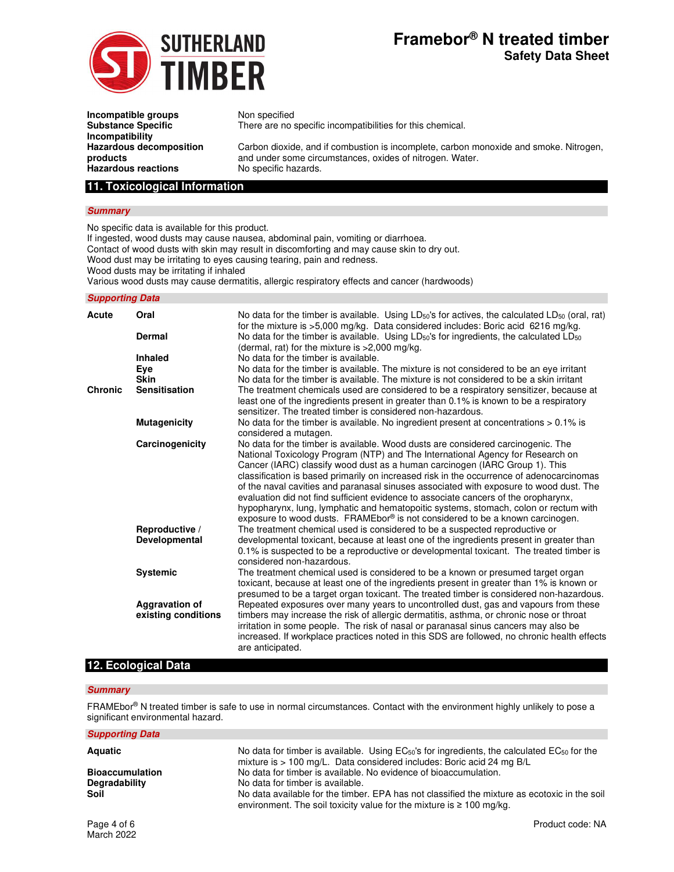

# **Framebor® N treated timber Safety Data Sheet**

**Incompatible groups** Non specified **Substance Specific Incompatibility Hazardous decomposition products Hazardous reactions** 

There are no specific incompatibilities for this chemical.

Carbon dioxide, and if combustion is incomplete, carbon monoxide and smoke. Nitrogen, and under some circumstances, oxides of nitrogen. Water.

## **11. Toxicological Information**

### **Summary**

No specific data is available for this product.

If ingested, wood dusts may cause nausea, abdominal pain, vomiting or diarrhoea.

Contact of wood dusts with skin may result in discomforting and may cause skin to dry out.

Wood dust may be irritating to eyes causing tearing, pain and redness.

Wood dusts may be irritating if inhaled

Various wood dusts may cause dermatitis, allergic respiratory effects and cancer (hardwoods)

### **Supporting Data**

| Acute          | Oral                                         | No data for the timber is available. Using $LD_{50}$ 's for actives, the calculated $LD_{50}$ (oral, rat)<br>for the mixture is >5,000 mg/kg. Data considered includes: Boric acid 6216 mg/kg.                                                                                                                                                                                                                                                                                                                                                                                                                                                                                                          |
|----------------|----------------------------------------------|---------------------------------------------------------------------------------------------------------------------------------------------------------------------------------------------------------------------------------------------------------------------------------------------------------------------------------------------------------------------------------------------------------------------------------------------------------------------------------------------------------------------------------------------------------------------------------------------------------------------------------------------------------------------------------------------------------|
|                | Dermal                                       | No data for the timber is available. Using $LD_{50}$ 's for ingredients, the calculated $LD_{50}$<br>(dermal, rat) for the mixture is $>2,000$ mg/kg.                                                                                                                                                                                                                                                                                                                                                                                                                                                                                                                                                   |
|                | Inhaled                                      | No data for the timber is available.                                                                                                                                                                                                                                                                                                                                                                                                                                                                                                                                                                                                                                                                    |
|                | Eye                                          | No data for the timber is available. The mixture is not considered to be an eye irritant                                                                                                                                                                                                                                                                                                                                                                                                                                                                                                                                                                                                                |
|                | <b>Skin</b>                                  | No data for the timber is available. The mixture is not considered to be a skin irritant                                                                                                                                                                                                                                                                                                                                                                                                                                                                                                                                                                                                                |
| <b>Chronic</b> | <b>Sensitisation</b>                         | The treatment chemicals used are considered to be a respiratory sensitizer, because at<br>least one of the ingredients present in greater than 0.1% is known to be a respiratory<br>sensitizer. The treated timber is considered non-hazardous.                                                                                                                                                                                                                                                                                                                                                                                                                                                         |
|                | <b>Mutagenicity</b>                          | No data for the timber is available. No ingredient present at concentrations $> 0.1\%$ is<br>considered a mutagen.                                                                                                                                                                                                                                                                                                                                                                                                                                                                                                                                                                                      |
|                | Carcinogenicity                              | No data for the timber is available. Wood dusts are considered carcinogenic. The<br>National Toxicology Program (NTP) and The International Agency for Research on<br>Cancer (IARC) classify wood dust as a human carcinogen (IARC Group 1). This<br>classification is based primarily on increased risk in the occurrence of adenocarcinomas<br>of the naval cavities and paranasal sinuses associated with exposure to wood dust. The<br>evaluation did not find sufficient evidence to associate cancers of the oropharynx,<br>hypopharynx, lung, lymphatic and hematopoitic systems, stomach, colon or rectum with<br>exposure to wood dusts. FRAMEbor® is not considered to be a known carcinogen. |
|                | Reproductive /<br>Developmental              | The treatment chemical used is considered to be a suspected reproductive or<br>developmental toxicant, because at least one of the ingredients present in greater than<br>0.1% is suspected to be a reproductive or developmental toxicant. The treated timber is<br>considered non-hazardous.                                                                                                                                                                                                                                                                                                                                                                                                          |
|                | <b>Systemic</b>                              | The treatment chemical used is considered to be a known or presumed target organ<br>toxicant, because at least one of the ingredients present in greater than 1% is known or<br>presumed to be a target organ toxicant. The treated timber is considered non-hazardous.                                                                                                                                                                                                                                                                                                                                                                                                                                 |
|                | <b>Aggravation of</b><br>existing conditions | Repeated exposures over many years to uncontrolled dust, gas and vapours from these<br>timbers may increase the risk of allergic dermatitis, asthma, or chronic nose or throat<br>irritation in some people. The risk of nasal or paranasal sinus cancers may also be<br>increased. If workplace practices noted in this SDS are followed, no chronic health effects<br>are anticipated.                                                                                                                                                                                                                                                                                                                |

## **12. Ecological Data**

### **Summary**

**Supporting Data** 

FRAMEbor® N treated timber is safe to use in normal circumstances. Contact with the environment highly unlikely to pose a significant environmental hazard.

| Aquatic                | No data for timber is available. Using EC <sub>50</sub> 's for ingredients, the calculated EC <sub>50</sub> for the<br>mixture is > 100 mg/L. Data considered includes: Boric acid 24 mg B/L |
|------------------------|----------------------------------------------------------------------------------------------------------------------------------------------------------------------------------------------|
| <b>Bioaccumulation</b> | No data for timber is available. No evidence of bioaccumulation.                                                                                                                             |
| Degradability          | No data for timber is available.                                                                                                                                                             |
| Soil                   | No data available for the timber. EPA has not classified the mixture as ecotoxic in the soil<br>environment. The soil toxicity value for the mixture is $\geq 100$ mg/kg.                    |
|                        |                                                                                                                                                                                              |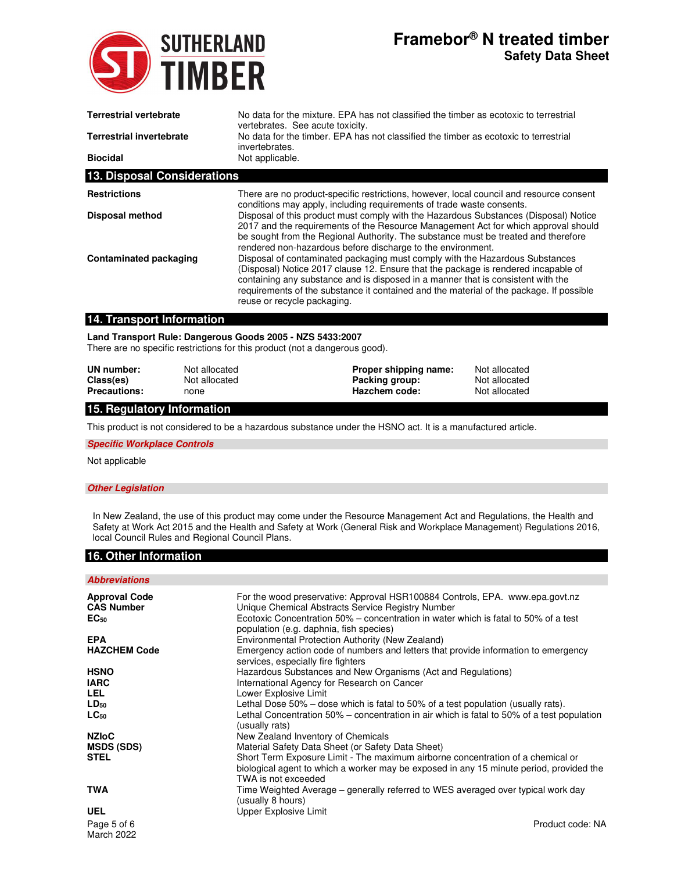

# **Framebor® N treated timber Safety Data Sheet**

| <b>Terrestrial vertebrate</b>      | No data for the mixture. EPA has not classified the timber as ecotoxic to terrestrial<br>vertebrates. See acute toxicity.                                                                                                                                                                                                                                                        |  |
|------------------------------------|----------------------------------------------------------------------------------------------------------------------------------------------------------------------------------------------------------------------------------------------------------------------------------------------------------------------------------------------------------------------------------|--|
| <b>Terrestrial invertebrate</b>    | No data for the timber. EPA has not classified the timber as ecotoxic to terrestrial<br>invertebrates.                                                                                                                                                                                                                                                                           |  |
| <b>Biocidal</b>                    | Not applicable.                                                                                                                                                                                                                                                                                                                                                                  |  |
| <b>13. Disposal Considerations</b> |                                                                                                                                                                                                                                                                                                                                                                                  |  |
| <b>Restrictions</b>                | There are no product-specific restrictions, however, local council and resource consent<br>conditions may apply, including requirements of trade waste consents.                                                                                                                                                                                                                 |  |
| <b>Disposal method</b>             | Disposal of this product must comply with the Hazardous Substances (Disposal) Notice<br>2017 and the requirements of the Resource Management Act for which approval should<br>be sought from the Regional Authority. The substance must be treated and therefore<br>rendered non-hazardous before discharge to the environment.                                                  |  |
| Contaminated packaging             | Disposal of contaminated packaging must comply with the Hazardous Substances<br>(Disposal) Notice 2017 clause 12. Ensure that the package is rendered incapable of<br>containing any substance and is disposed in a manner that is consistent with the<br>requirements of the substance it contained and the material of the package. If possible<br>reuse or recycle packaging. |  |

## **14. Transport Information**

## **Land Transport Rule: Dangerous Goods 2005 - NZS 5433:2007**

There are no specific restrictions for this product (not a dangerous good).

| UN number:          | Not allocated | Proper shipping name: | Not allocated |
|---------------------|---------------|-----------------------|---------------|
| Class(es)           | Not allocated | Packing group:        | Not allocated |
| <b>Precautions:</b> | none          | Hazchem code:         | Not allocated |

## **15. Regulatory Information**

This product is not considered to be a hazardous substance under the HSNO act. It is a manufactured article.

### **Specific Workplace Controls**

Not applicable

## **Other Legislation**

In New Zealand, the use of this product may come under the Resource Management Act and Regulations, the Health and Safety at Work Act 2015 and the Health and Safety at Work (General Risk and Workplace Management) Regulations 2016, local Council Rules and Regional Council Plans.

## **16. Other Information**

## **Abbreviations**

| <b>Approval Code</b>             | For the wood preservative: Approval HSR100884 Controls, EPA. www.epa.govt.nz                                                                                                                      |
|----------------------------------|---------------------------------------------------------------------------------------------------------------------------------------------------------------------------------------------------|
| <b>CAS Number</b>                | Unique Chemical Abstracts Service Registry Number                                                                                                                                                 |
| $EC_{50}$                        | Ecotoxic Concentration 50% – concentration in water which is fatal to 50% of a test<br>population (e.g. daphnia, fish species)                                                                    |
| <b>EPA</b>                       | Environmental Protection Authority (New Zealand)                                                                                                                                                  |
| <b>HAZCHEM Code</b>              | Emergency action code of numbers and letters that provide information to emergency<br>services, especially fire fighters                                                                          |
| <b>HSNO</b>                      | Hazardous Substances and New Organisms (Act and Regulations)                                                                                                                                      |
| <b>IARC</b>                      | International Agency for Research on Cancer                                                                                                                                                       |
| LEL.                             | Lower Explosive Limit                                                                                                                                                                             |
| $LD_{50}$                        | Lethal Dose $50\%$ – dose which is fatal to $50\%$ of a test population (usually rats).                                                                                                           |
| $LC_{50}$                        | Lethal Concentration 50% – concentration in air which is fatal to 50% of a test population<br>(usually rats)                                                                                      |
| <b>NZIoC</b>                     | New Zealand Inventory of Chemicals                                                                                                                                                                |
| <b>MSDS (SDS)</b>                | Material Safety Data Sheet (or Safety Data Sheet)                                                                                                                                                 |
| <b>STEL</b>                      | Short Term Exposure Limit - The maximum airborne concentration of a chemical or<br>biological agent to which a worker may be exposed in any 15 minute period, provided the<br>TWA is not exceeded |
| <b>TWA</b>                       | Time Weighted Average – generally referred to WES averaged over typical work day<br>(usually 8 hours)                                                                                             |
| <b>UEL</b>                       | Upper Explosive Limit                                                                                                                                                                             |
| Page 5 of 6<br><b>March 2022</b> | Product code: NA                                                                                                                                                                                  |